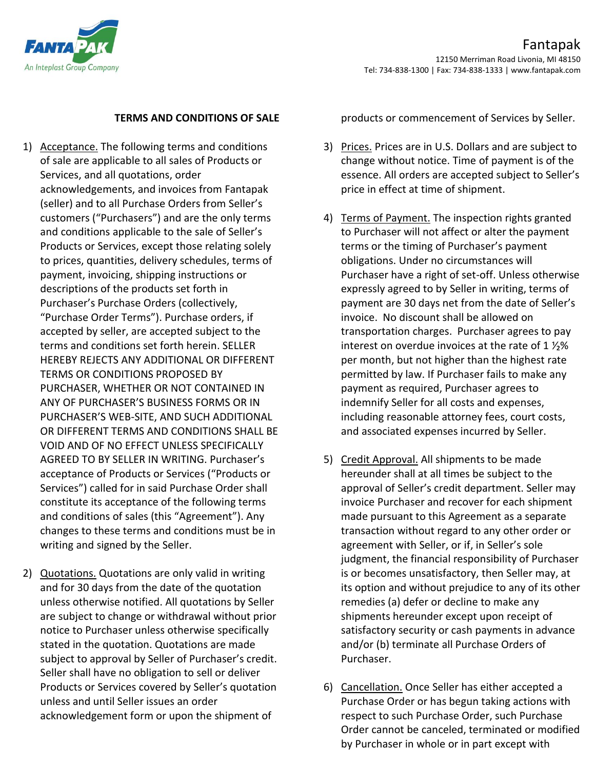

## **TERMS AND CONDITIONS OF SALE**

- 1) Acceptance. The following terms and conditions of sale are applicable to all sales of Products or Services, and all quotations, order acknowledgements, and invoices from Fantapak (seller) and to all Purchase Orders from Seller's customers ("Purchasers") and are the only terms and conditions applicable to the sale of Seller's Products or Services, except those relating solely to prices, quantities, delivery schedules, terms of payment, invoicing, shipping instructions or descriptions of the products set forth in Purchaser's Purchase Orders (collectively, "Purchase Order Terms"). Purchase orders, if accepted by seller, are accepted subject to the terms and conditions set forth herein. SELLER HEREBY REJECTS ANY ADDITIONAL OR DIFFERENT TERMS OR CONDITIONS PROPOSED BY PURCHASER, WHETHER OR NOT CONTAINED IN ANY OF PURCHASER'S BUSINESS FORMS OR IN PURCHASER'S WEB-SITE, AND SUCH ADDITIONAL OR DIFFERENT TERMS AND CONDITIONS SHALL BE VOID AND OF NO EFFECT UNLESS SPECIFICALLY AGREED TO BY SELLER IN WRITING. Purchaser's acceptance of Products or Services ("Products or Services") called for in said Purchase Order shall constitute its acceptance of the following terms and conditions of sales (this "Agreement"). Any changes to these terms and conditions must be in writing and signed by the Seller.
- 2) Quotations. Quotations are only valid in writing and for 30 days from the date of the quotation unless otherwise notified. All quotations by Seller are subject to change or withdrawal without prior notice to Purchaser unless otherwise specifically stated in the quotation. Quotations are made subject to approval by Seller of Purchaser's credit. Seller shall have no obligation to sell or deliver Products or Services covered by Seller's quotation unless and until Seller issues an order acknowledgement form or upon the shipment of

products or commencement of Services by Seller.

- 3) Prices. Prices are in U.S. Dollars and are subject to change without notice. Time of payment is of the essence. All orders are accepted subject to Seller's price in effect at time of shipment.
- 4) Terms of Payment. The inspection rights granted to Purchaser will not affect or alter the payment terms or the timing of Purchaser's payment obligations. Under no circumstances will Purchaser have a right of set-off. Unless otherwise expressly agreed to by Seller in writing, terms of payment are 30 days net from the date of Seller's invoice. No discount shall be allowed on transportation charges. Purchaser agrees to pay interest on overdue invoices at the rate of 1  $1/2$ % per month, but not higher than the highest rate permitted by law. If Purchaser fails to make any payment as required, Purchaser agrees to indemnify Seller for all costs and expenses, including reasonable attorney fees, court costs, and associated expenses incurred by Seller.
- 5) Credit Approval. All shipments to be made hereunder shall at all times be subject to the approval of Seller's credit department. Seller may invoice Purchaser and recover for each shipment made pursuant to this Agreement as a separate transaction without regard to any other order or agreement with Seller, or if, in Seller's sole judgment, the financial responsibility of Purchaser is or becomes unsatisfactory, then Seller may, at its option and without prejudice to any of its other remedies (a) defer or decline to make any shipments hereunder except upon receipt of satisfactory security or cash payments in advance and/or (b) terminate all Purchase Orders of Purchaser.
- 6) Cancellation. Once Seller has either accepted a Purchase Order or has begun taking actions with respect to such Purchase Order, such Purchase Order cannot be canceled, terminated or modified by Purchaser in whole or in part except with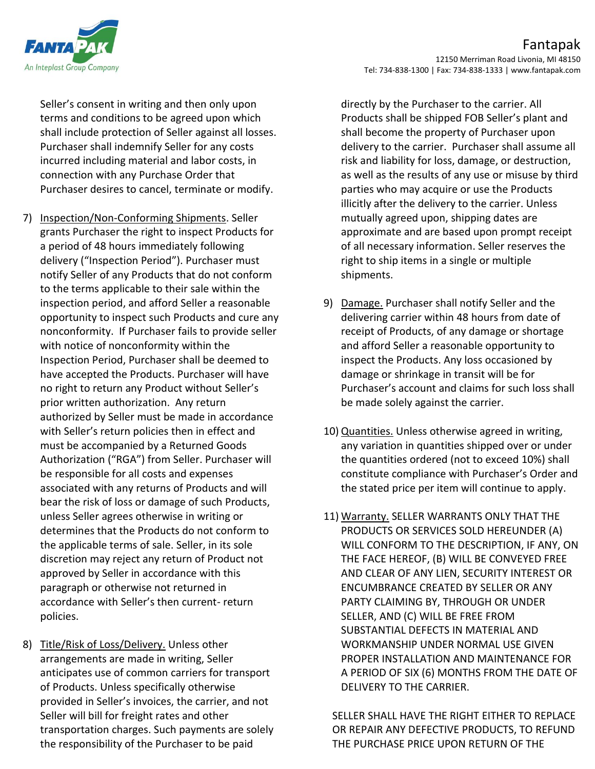

Seller's consent in writing and then only upon terms and conditions to be agreed upon which shall include protection of Seller against all losses. Purchaser shall indemnify Seller for any costs incurred including material and labor costs, in connection with any Purchase Order that Purchaser desires to cancel, terminate or modify.

- 7) Inspection/Non-Conforming Shipments. Seller grants Purchaser the right to inspect Products for a period of 48 hours immediately following delivery ("Inspection Period"). Purchaser must notify Seller of any Products that do not conform to the terms applicable to their sale within the inspection period, and afford Seller a reasonable opportunity to inspect such Products and cure any nonconformity. If Purchaser fails to provide seller with notice of nonconformity within the Inspection Period, Purchaser shall be deemed to have accepted the Products. Purchaser will have no right to return any Product without Seller's prior written authorization. Any return authorized by Seller must be made in accordance with Seller's return policies then in effect and must be accompanied by a Returned Goods Authorization ("RGA") from Seller. Purchaser will be responsible for all costs and expenses associated with any returns of Products and will bear the risk of loss or damage of such Products, unless Seller agrees otherwise in writing or determines that the Products do not conform to the applicable terms of sale. Seller, in its sole discretion may reject any return of Product not approved by Seller in accordance with this paragraph or otherwise not returned in accordance with Seller's then current- return policies.
- 8) Title/Risk of Loss/Delivery. Unless other arrangements are made in writing, Seller anticipates use of common carriers for transport of Products. Unless specifically otherwise provided in Seller's invoices, the carrier, and not Seller will bill for freight rates and other transportation charges. Such payments are solely the responsibility of the Purchaser to be paid

directly by the Purchaser to the carrier. All Products shall be shipped FOB Seller's plant and shall become the property of Purchaser upon delivery to the carrier. Purchaser shall assume all risk and liability for loss, damage, or destruction, as well as the results of any use or misuse by third parties who may acquire or use the Products illicitly after the delivery to the carrier. Unless mutually agreed upon, shipping dates are approximate and are based upon prompt receipt of all necessary information. Seller reserves the right to ship items in a single or multiple shipments.

- 9) Damage. Purchaser shall notify Seller and the delivering carrier within 48 hours from date of receipt of Products, of any damage or shortage and afford Seller a reasonable opportunity to inspect the Products. Any loss occasioned by damage or shrinkage in transit will be for Purchaser's account and claims for such loss shall be made solely against the carrier.
- 10) Quantities. Unless otherwise agreed in writing, any variation in quantities shipped over or under the quantities ordered (not to exceed 10%) shall constitute compliance with Purchaser's Order and the stated price per item will continue to apply.
- 11) Warranty. SELLER WARRANTS ONLY THAT THE PRODUCTS OR SERVICES SOLD HEREUNDER (A) WILL CONFORM TO THE DESCRIPTION, IF ANY, ON THE FACE HEREOF, (B) WILL BE CONVEYED FREE AND CLEAR OF ANY LIEN, SECURITY INTEREST OR ENCUMBRANCE CREATED BY SELLER OR ANY PARTY CLAIMING BY, THROUGH OR UNDER SELLER, AND (C) WILL BE FREE FROM SUBSTANTIAL DEFECTS IN MATERIAL AND WORKMANSHIP UNDER NORMAL USE GIVEN PROPER INSTALLATION AND MAINTENANCE FOR A PERIOD OF SIX (6) MONTHS FROM THE DATE OF DELIVERY TO THE CARRIER.

SELLER SHALL HAVE THE RIGHT EITHER TO REPLACE OR REPAIR ANY DEFECTIVE PRODUCTS, TO REFUND THE PURCHASE PRICE UPON RETURN OF THE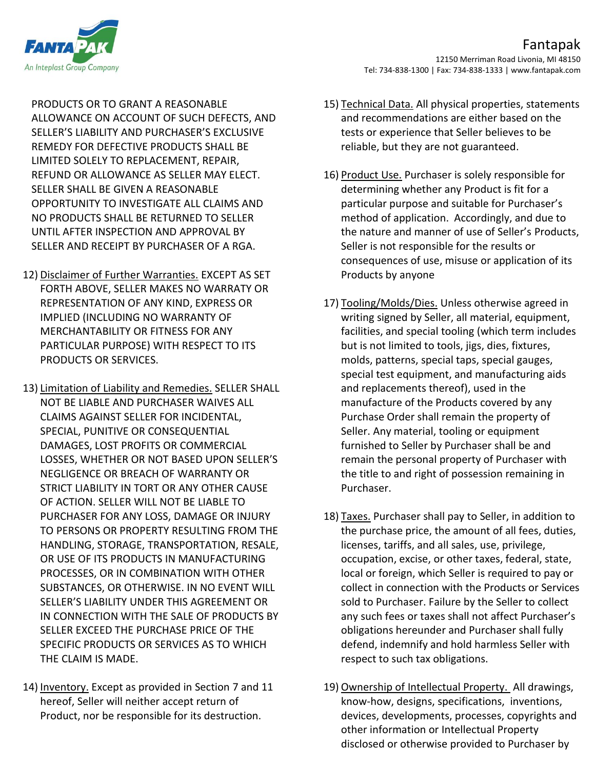

PRODUCTS OR TO GRANT A REASONABLE ALLOWANCE ON ACCOUNT OF SUCH DEFECTS, AND SELLER'S LIABILITY AND PURCHASER'S EXCLUSIVE REMEDY FOR DEFECTIVE PRODUCTS SHALL BE LIMITED SOLELY TO REPLACEMENT, REPAIR, REFUND OR ALLOWANCE AS SELLER MAY ELECT. SELLER SHALL BE GIVEN A REASONABLE OPPORTUNITY TO INVESTIGATE ALL CLAIMS AND NO PRODUCTS SHALL BE RETURNED TO SELLER UNTIL AFTER INSPECTION AND APPROVAL BY SELLER AND RECEIPT BY PURCHASER OF A RGA.

- 12) Disclaimer of Further Warranties. EXCEPT AS SET FORTH ABOVE, SELLER MAKES NO WARRATY OR REPRESENTATION OF ANY KIND, EXPRESS OR IMPLIED (INCLUDING NO WARRANTY OF MERCHANTABILITY OR FITNESS FOR ANY PARTICULAR PURPOSE) WITH RESPECT TO ITS PRODUCTS OR SERVICES.
- 13) Limitation of Liability and Remedies. SELLER SHALL NOT BE LIABLE AND PURCHASER WAIVES ALL CLAIMS AGAINST SELLER FOR INCIDENTAL, SPECIAL, PUNITIVE OR CONSEQUENTIAL DAMAGES, LOST PROFITS OR COMMERCIAL LOSSES, WHETHER OR NOT BASED UPON SELLER'S NEGLIGENCE OR BREACH OF WARRANTY OR STRICT LIABILITY IN TORT OR ANY OTHER CAUSE OF ACTION. SELLER WILL NOT BE LIABLE TO PURCHASER FOR ANY LOSS, DAMAGE OR INJURY TO PERSONS OR PROPERTY RESULTING FROM THE HANDLING, STORAGE, TRANSPORTATION, RESALE, OR USE OF ITS PRODUCTS IN MANUFACTURING PROCESSES, OR IN COMBINATION WITH OTHER SUBSTANCES, OR OTHERWISE. IN NO EVENT WILL SELLER'S LIABILITY UNDER THIS AGREEMENT OR IN CONNECTION WITH THE SALE OF PRODUCTS BY SELLER EXCEED THE PURCHASE PRICE OF THE SPECIFIC PRODUCTS OR SERVICES AS TO WHICH THE CLAIM IS MADE.
- 14) Inventory. Except as provided in Section 7 and 11 hereof, Seller will neither accept return of Product, nor be responsible for its destruction.
- 15) Technical Data. All physical properties, statements and recommendations are either based on the tests or experience that Seller believes to be reliable, but they are not guaranteed.
- 16) Product Use. Purchaser is solely responsible for determining whether any Product is fit for a particular purpose and suitable for Purchaser's method of application. Accordingly, and due to the nature and manner of use of Seller's Products, Seller is not responsible for the results or consequences of use, misuse or application of its Products by anyone
- 17) Tooling/Molds/Dies. Unless otherwise agreed in writing signed by Seller, all material, equipment, facilities, and special tooling (which term includes but is not limited to tools, jigs, dies, fixtures, molds, patterns, special taps, special gauges, special test equipment, and manufacturing aids and replacements thereof), used in the manufacture of the Products covered by any Purchase Order shall remain the property of Seller. Any material, tooling or equipment furnished to Seller by Purchaser shall be and remain the personal property of Purchaser with the title to and right of possession remaining in Purchaser.
- 18) Taxes. Purchaser shall pay to Seller, in addition to the purchase price, the amount of all fees, duties, licenses, tariffs, and all sales, use, privilege, occupation, excise, or other taxes, federal, state, local or foreign, which Seller is required to pay or collect in connection with the Products or Services sold to Purchaser. Failure by the Seller to collect any such fees or taxes shall not affect Purchaser's obligations hereunder and Purchaser shall fully defend, indemnify and hold harmless Seller with respect to such tax obligations.
- 19) Ownership of Intellectual Property. All drawings, know-how, designs, specifications, inventions, devices, developments, processes, copyrights and other information or Intellectual Property disclosed or otherwise provided to Purchaser by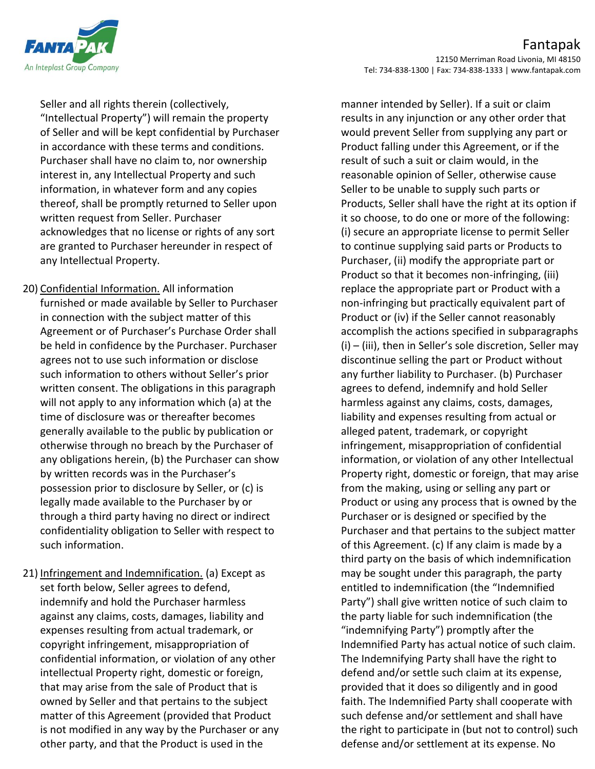

Seller and all rights therein (collectively, "Intellectual Property") will remain the property of Seller and will be kept confidential by Purchaser in accordance with these terms and conditions. Purchaser shall have no claim to, nor ownership interest in, any Intellectual Property and such information, in whatever form and any copies thereof, shall be promptly returned to Seller upon written request from Seller. Purchaser acknowledges that no license or rights of any sort are granted to Purchaser hereunder in respect of any Intellectual Property.

20) Confidential Information. All information furnished or made available by Seller to Purchaser in connection with the subject matter of this Agreement or of Purchaser's Purchase Order shall be held in confidence by the Purchaser. Purchaser agrees not to use such information or disclose such information to others without Seller's prior written consent. The obligations in this paragraph will not apply to any information which (a) at the time of disclosure was or thereafter becomes generally available to the public by publication or otherwise through no breach by the Purchaser of any obligations herein, (b) the Purchaser can show by written records was in the Purchaser's possession prior to disclosure by Seller, or (c) is legally made available to the Purchaser by or through a third party having no direct or indirect confidentiality obligation to Seller with respect to such information.

21) Infringement and Indemnification. (a) Except as set forth below, Seller agrees to defend, indemnify and hold the Purchaser harmless against any claims, costs, damages, liability and expenses resulting from actual trademark, or copyright infringement, misappropriation of confidential information, or violation of any other intellectual Property right, domestic or foreign, that may arise from the sale of Product that is owned by Seller and that pertains to the subject matter of this Agreement (provided that Product is not modified in any way by the Purchaser or any other party, and that the Product is used in the

manner intended by Seller). If a suit or claim results in any injunction or any other order that would prevent Seller from supplying any part or Product falling under this Agreement, or if the result of such a suit or claim would, in the reasonable opinion of Seller, otherwise cause Seller to be unable to supply such parts or Products, Seller shall have the right at its option if it so choose, to do one or more of the following: (i) secure an appropriate license to permit Seller to continue supplying said parts or Products to Purchaser, (ii) modify the appropriate part or Product so that it becomes non-infringing, (iii) replace the appropriate part or Product with a non-infringing but practically equivalent part of Product or (iv) if the Seller cannot reasonably accomplish the actions specified in subparagraphs (i) – (iii), then in Seller's sole discretion, Seller may discontinue selling the part or Product without any further liability to Purchaser. (b) Purchaser agrees to defend, indemnify and hold Seller harmless against any claims, costs, damages, liability and expenses resulting from actual or alleged patent, trademark, or copyright infringement, misappropriation of confidential information, or violation of any other Intellectual Property right, domestic or foreign, that may arise from the making, using or selling any part or Product or using any process that is owned by the Purchaser or is designed or specified by the Purchaser and that pertains to the subject matter of this Agreement. (c) If any claim is made by a third party on the basis of which indemnification may be sought under this paragraph, the party entitled to indemnification (the "Indemnified Party") shall give written notice of such claim to the party liable for such indemnification (the "indemnifying Party") promptly after the Indemnified Party has actual notice of such claim. The Indemnifying Party shall have the right to defend and/or settle such claim at its expense, provided that it does so diligently and in good faith. The Indemnified Party shall cooperate with such defense and/or settlement and shall have the right to participate in (but not to control) such defense and/or settlement at its expense. No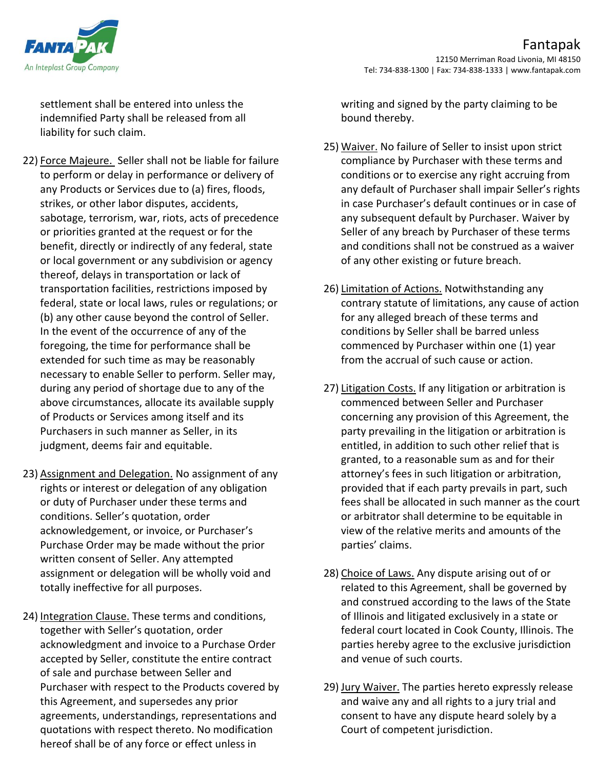

settlement shall be entered into unless the indemnified Party shall be released from all liability for such claim.

- 22) Force Majeure. Seller shall not be liable for failure to perform or delay in performance or delivery of any Products or Services due to (a) fires, floods, strikes, or other labor disputes, accidents, sabotage, terrorism, war, riots, acts of precedence or priorities granted at the request or for the benefit, directly or indirectly of any federal, state or local government or any subdivision or agency thereof, delays in transportation or lack of transportation facilities, restrictions imposed by federal, state or local laws, rules or regulations; or (b) any other cause beyond the control of Seller. In the event of the occurrence of any of the foregoing, the time for performance shall be extended for such time as may be reasonably necessary to enable Seller to perform. Seller may, during any period of shortage due to any of the above circumstances, allocate its available supply of Products or Services among itself and its Purchasers in such manner as Seller, in its judgment, deems fair and equitable.
- 23) Assignment and Delegation. No assignment of any rights or interest or delegation of any obligation or duty of Purchaser under these terms and conditions. Seller's quotation, order acknowledgement, or invoice, or Purchaser's Purchase Order may be made without the prior written consent of Seller. Any attempted assignment or delegation will be wholly void and totally ineffective for all purposes.
- 24) Integration Clause. These terms and conditions, together with Seller's quotation, order acknowledgment and invoice to a Purchase Order accepted by Seller, constitute the entire contract of sale and purchase between Seller and Purchaser with respect to the Products covered by this Agreement, and supersedes any prior agreements, understandings, representations and quotations with respect thereto. No modification hereof shall be of any force or effect unless in

writing and signed by the party claiming to be bound thereby.

- 25) Waiver. No failure of Seller to insist upon strict compliance by Purchaser with these terms and conditions or to exercise any right accruing from any default of Purchaser shall impair Seller's rights in case Purchaser's default continues or in case of any subsequent default by Purchaser. Waiver by Seller of any breach by Purchaser of these terms and conditions shall not be construed as a waiver of any other existing or future breach.
- 26) Limitation of Actions. Notwithstanding any contrary statute of limitations, any cause of action for any alleged breach of these terms and conditions by Seller shall be barred unless commenced by Purchaser within one (1) year from the accrual of such cause or action.
- 27) Litigation Costs. If any litigation or arbitration is commenced between Seller and Purchaser concerning any provision of this Agreement, the party prevailing in the litigation or arbitration is entitled, in addition to such other relief that is granted, to a reasonable sum as and for their attorney's fees in such litigation or arbitration, provided that if each party prevails in part, such fees shall be allocated in such manner as the court or arbitrator shall determine to be equitable in view of the relative merits and amounts of the parties' claims.
- 28) Choice of Laws. Any dispute arising out of or related to this Agreement, shall be governed by and construed according to the laws of the State of Illinois and litigated exclusively in a state or federal court located in Cook County, Illinois. The parties hereby agree to the exclusive jurisdiction and venue of such courts.
- 29) Jury Waiver. The parties hereto expressly release and waive any and all rights to a jury trial and consent to have any dispute heard solely by a Court of competent jurisdiction.